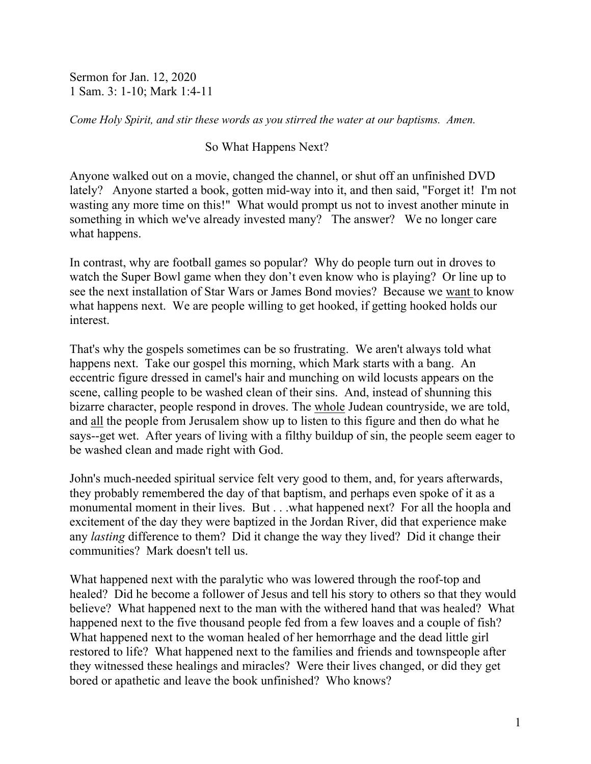Sermon for Jan. 12, 2020 1 Sam. 3: 1-10; Mark 1:4-11

*Come Holy Spirit, and stir these words as you stirred the water at our baptisms. Amen.*

So What Happens Next?

Anyone walked out on a movie, changed the channel, or shut off an unfinished DVD lately? Anyone started a book, gotten mid-way into it, and then said, "Forget it! I'm not wasting any more time on this!" What would prompt us not to invest another minute in something in which we've already invested many? The answer? We no longer care what happens.

In contrast, why are football games so popular? Why do people turn out in droves to watch the Super Bowl game when they don't even know who is playing? Or line up to see the next installation of Star Wars or James Bond movies? Because we want to know what happens next. We are people willing to get hooked, if getting hooked holds our interest.

That's why the gospels sometimes can be so frustrating. We aren't always told what happens next. Take our gospel this morning, which Mark starts with a bang. An eccentric figure dressed in camel's hair and munching on wild locusts appears on the scene, calling people to be washed clean of their sins. And, instead of shunning this bizarre character, people respond in droves. The whole Judean countryside, we are told, and all the people from Jerusalem show up to listen to this figure and then do what he says--get wet. After years of living with a filthy buildup of sin, the people seem eager to be washed clean and made right with God.

John's much-needed spiritual service felt very good to them, and, for years afterwards, they probably remembered the day of that baptism, and perhaps even spoke of it as a monumental moment in their lives. But . . .what happened next? For all the hoopla and excitement of the day they were baptized in the Jordan River, did that experience make any *lasting* difference to them? Did it change the way they lived? Did it change their communities? Mark doesn't tell us.

What happened next with the paralytic who was lowered through the roof-top and healed? Did he become a follower of Jesus and tell his story to others so that they would believe? What happened next to the man with the withered hand that was healed? What happened next to the five thousand people fed from a few loaves and a couple of fish? What happened next to the woman healed of her hemorrhage and the dead little girl restored to life? What happened next to the families and friends and townspeople after they witnessed these healings and miracles? Were their lives changed, or did they get bored or apathetic and leave the book unfinished? Who knows?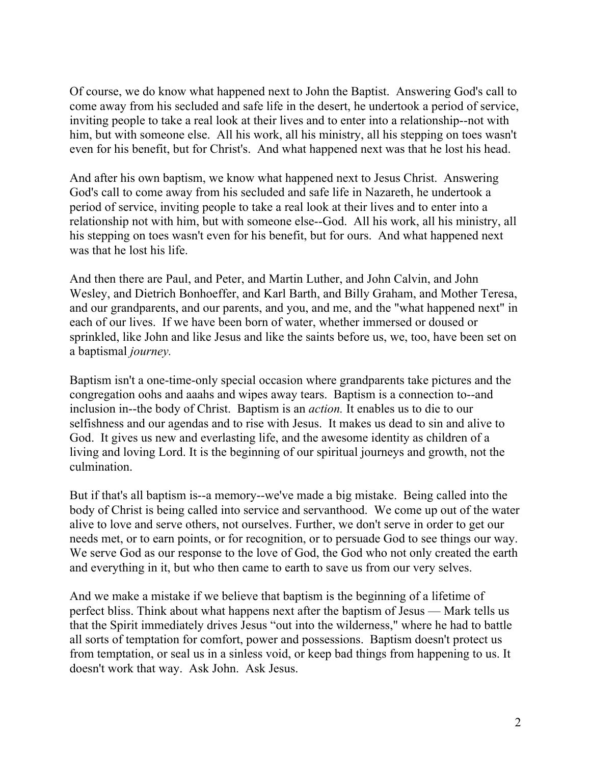Of course, we do know what happened next to John the Baptist. Answering God's call to come away from his secluded and safe life in the desert, he undertook a period of service, inviting people to take a real look at their lives and to enter into a relationship--not with him, but with someone else. All his work, all his ministry, all his stepping on toes wasn't even for his benefit, but for Christ's. And what happened next was that he lost his head.

And after his own baptism, we know what happened next to Jesus Christ. Answering God's call to come away from his secluded and safe life in Nazareth, he undertook a period of service, inviting people to take a real look at their lives and to enter into a relationship not with him, but with someone else--God. All his work, all his ministry, all his stepping on toes wasn't even for his benefit, but for ours. And what happened next was that he lost his life.

And then there are Paul, and Peter, and Martin Luther, and John Calvin, and John Wesley, and Dietrich Bonhoeffer, and Karl Barth, and Billy Graham, and Mother Teresa, and our grandparents, and our parents, and you, and me, and the "what happened next" in each of our lives. If we have been born of water, whether immersed or doused or sprinkled, like John and like Jesus and like the saints before us, we, too, have been set on a baptismal *journey.*

Baptism isn't a one-time-only special occasion where grandparents take pictures and the congregation oohs and aaahs and wipes away tears. Baptism is a connection to--and inclusion in--the body of Christ. Baptism is an *action.* It enables us to die to our selfishness and our agendas and to rise with Jesus. It makes us dead to sin and alive to God. It gives us new and everlasting life, and the awesome identity as children of a living and loving Lord. It is the beginning of our spiritual journeys and growth, not the culmination.

But if that's all baptism is--a memory--we've made a big mistake. Being called into the body of Christ is being called into service and servanthood. We come up out of the water alive to love and serve others, not ourselves. Further, we don't serve in order to get our needs met, or to earn points, or for recognition, or to persuade God to see things our way. We serve God as our response to the love of God, the God who not only created the earth and everything in it, but who then came to earth to save us from our very selves.

And we make a mistake if we believe that baptism is the beginning of a lifetime of perfect bliss. Think about what happens next after the baptism of Jesus — Mark tells us that the Spirit immediately drives Jesus "out into the wilderness," where he had to battle all sorts of temptation for comfort, power and possessions. Baptism doesn't protect us from temptation, or seal us in a sinless void, or keep bad things from happening to us. It doesn't work that way. Ask John. Ask Jesus.